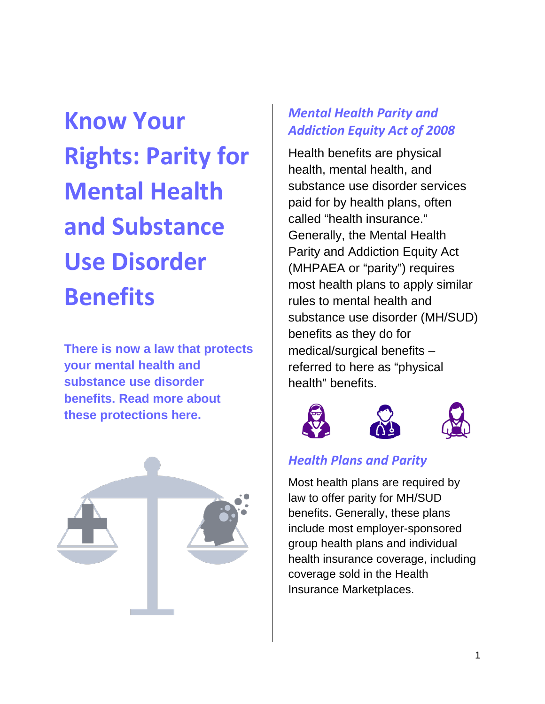**Know Your Rights: Parity for Mental Health and Substance Use Disorder Benefits**

**There is now a law that protects your mental health and substance use disorder benefits. Read more about these protections here.**



## *Mental Health Parity and Addiction Equity Act of 2008*

Health benefits are physical health, mental health, and substance use disorder services paid for by health plans, often called "health insurance." Generally, the Mental Health Parity and Addiction Equity Act (MHPAEA or "parity") requires most health plans to apply similar rules to mental health and substance use disorder (MH/SUD) benefits as they do for medical/surgical benefits – referred to here as "physical health" benefits.



# *Health Plans and Parity*

Most health plans are required by law to offer parity for MH/SUD benefits. Generally, these plans include most employer-sponsored group health plans and individual health insurance coverage, including coverage sold in the Health Insurance Marketplaces.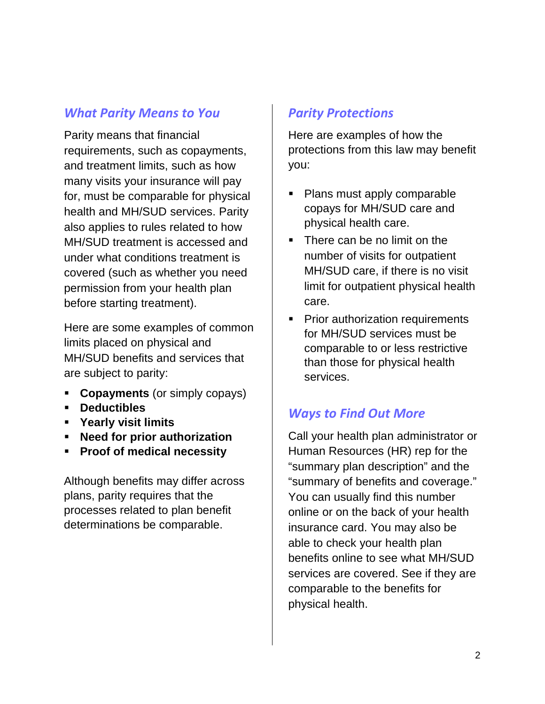#### *What Parity Means to You*

Parity means that financial requirements, such as copayments, and treatment limits, such as how many visits your insurance will pay for, must be comparable for physical health and MH/SUD services. Parity also applies to rules related to how MH/SUD treatment is accessed and under what conditions treatment is covered (such as whether you need permission from your health plan before starting treatment).

Here are some examples of common limits placed on physical and MH/SUD benefits and services that are subject to parity:

- **Copayments** (or simply copays)
- **Deductibles**
- **Yearly visit limits**
- **Need for prior authorization**
- **Proof of medical necessity**

Although benefits may differ across plans, parity requires that the processes related to plan benefit determinations be comparable.

#### *Parity Protections*

Here are examples of how the protections from this law may benefit you:

- Plans must apply comparable copays for MH/SUD care and physical health care.
- There can be no limit on the number of visits for outpatient MH/SUD care, if there is no visit limit for outpatient physical health care.
- **Prior authorization requirements** for MH/SUD services must be comparable to or less restrictive than those for physical health services.

### *Ways to Find Out More*

Call your health plan administrator or Human Resources (HR) rep for the "summary plan description" and the "summary of benefits and coverage." You can usually find this number online or on the back of your health insurance card. You may also be able to check your health plan benefits online to see what MH/SUD services are covered. See if they are comparable to the benefits for physical health.